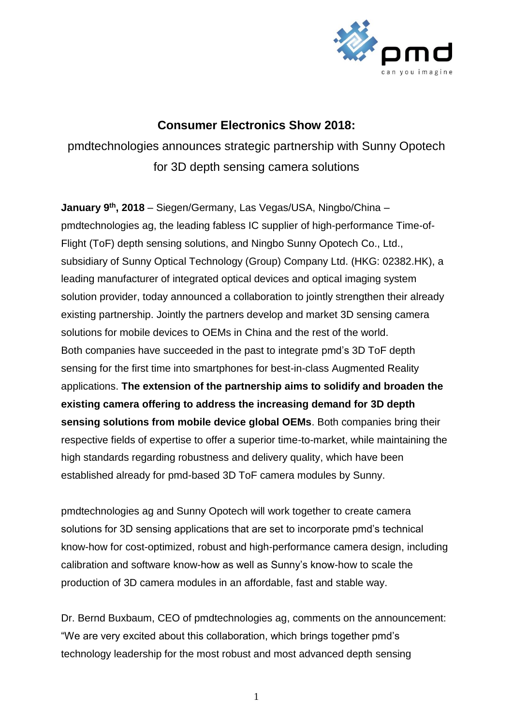

## **Consumer Electronics Show 2018:**

pmdtechnologies announces strategic partnership with Sunny Opotech for 3D depth sensing camera solutions

**January 9 th, 2018** – Siegen/Germany, Las Vegas/USA, Ningbo/China – pmdtechnologies ag, the leading fabless IC supplier of high-performance Time-of-Flight (ToF) depth sensing solutions, and Ningbo Sunny Opotech Co., Ltd., subsidiary of Sunny Optical Technology (Group) Company Ltd. (HKG: 02382.HK), a leading manufacturer of integrated optical devices and optical imaging system solution provider, today announced a collaboration to jointly strengthen their already existing partnership. Jointly the partners develop and market 3D sensing camera solutions for mobile devices to OEMs in China and the rest of the world. Both companies have succeeded in the past to integrate pmd's 3D ToF depth sensing for the first time into smartphones for best-in-class Augmented Reality applications. **The extension of the partnership aims to solidify and broaden the existing camera offering to address the increasing demand for 3D depth sensing solutions from mobile device global OEMs**. Both companies bring their respective fields of expertise to offer a superior time-to-market, while maintaining the high standards regarding robustness and delivery quality, which have been established already for pmd-based 3D ToF camera modules by Sunny.

pmdtechnologies ag and Sunny Opotech will work together to create camera solutions for 3D sensing applications that are set to incorporate pmd's technical know-how for cost-optimized, robust and high-performance camera design, including calibration and software know-how as well as Sunny's know-how to scale the production of 3D camera modules in an affordable, fast and stable way.

Dr. Bernd Buxbaum, CEO of pmdtechnologies ag, comments on the announcement: "We are very excited about this collaboration, which brings together pmd's technology leadership for the most robust and most advanced depth sensing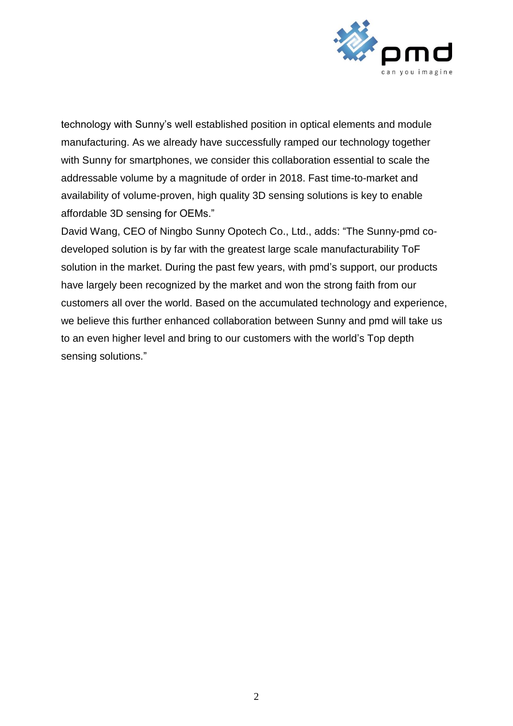

technology with Sunny's well established position in optical elements and module manufacturing. As we already have successfully ramped our technology together with Sunny for smartphones, we consider this collaboration essential to scale the addressable volume by a magnitude of order in 2018. Fast time-to-market and availability of volume-proven, high quality 3D sensing solutions is key to enable affordable 3D sensing for OEMs."

David Wang, CEO of Ningbo Sunny Opotech Co., Ltd., adds: "The Sunny-pmd codeveloped solution is by far with the greatest large scale manufacturability ToF solution in the market. During the past few years, with pmd's support, our products have largely been recognized by the market and won the strong faith from our customers all over the world. Based on the accumulated technology and experience, we believe this further enhanced collaboration between Sunny and pmd will take us to an even higher level and bring to our customers with the world's Top depth sensing solutions."